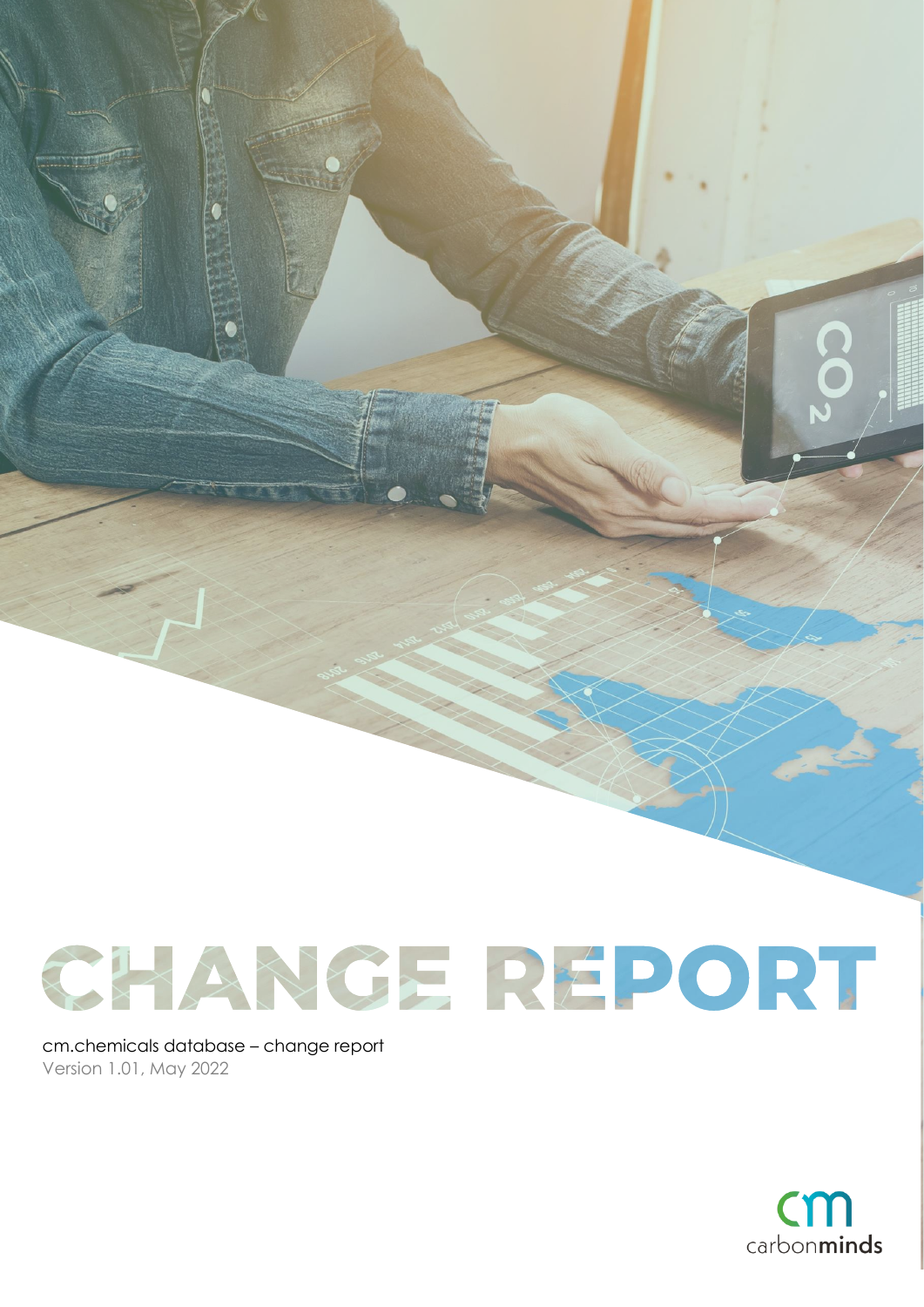# CHANGE RÉPORT

cm.chemicals database – change report Version 1.01, May 2022



 $\ddot{\mathbf{o}}$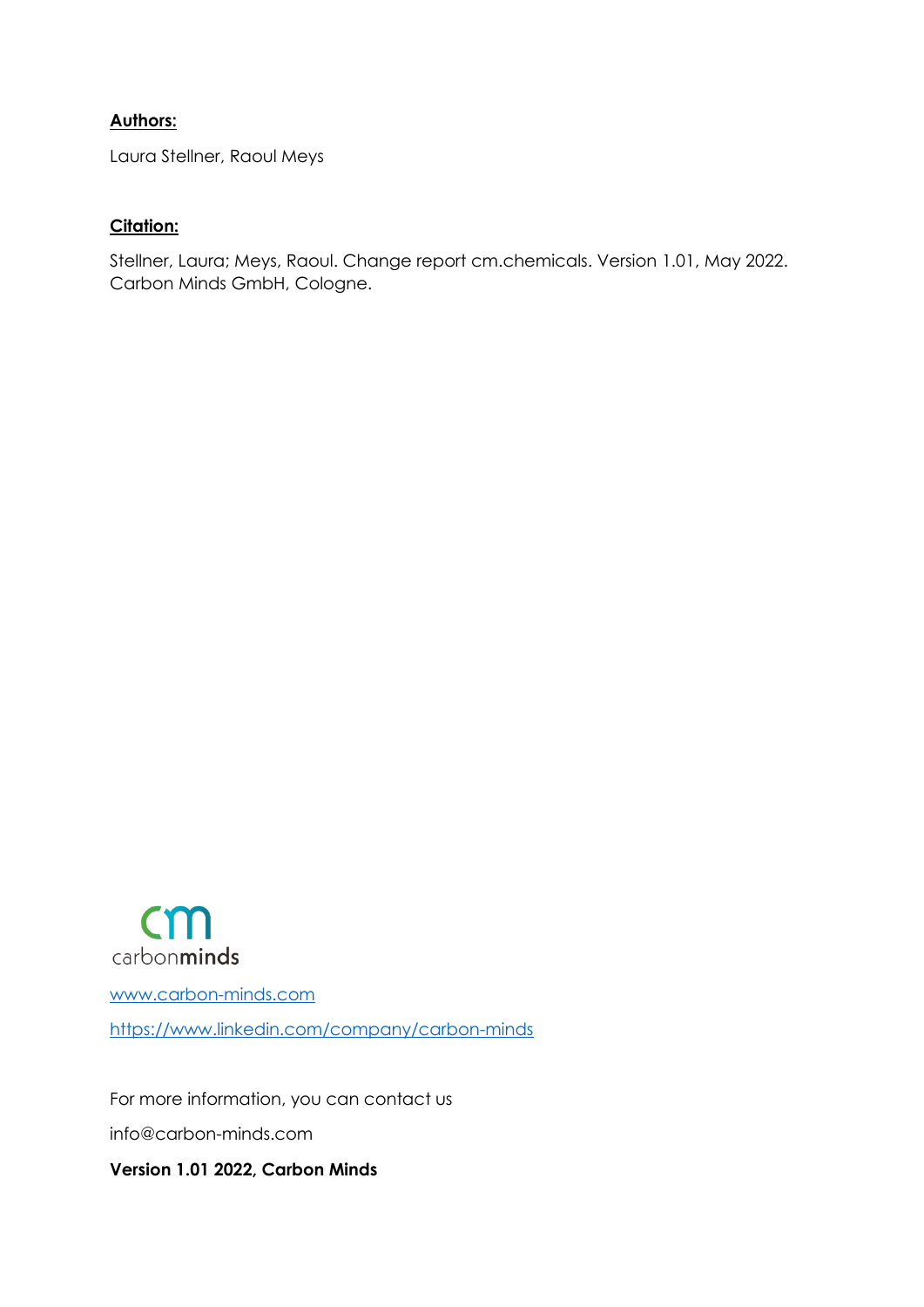#### **Authors:**

Laura Stellner, Raoul Meys

#### **Citation:**

Stellner, Laura; Meys, Raoul. Change report cm.chemicals. Version 1.01, May 2022. Carbon Minds GmbH, Cologne.



[www.carbon-minds.com](http://www.carbon-minds.com/) <https://www.linkedin.com/company/carbon-minds>

For more information, you can contact us info@carbon-minds.com **Version 1.01 2022, Carbon Minds**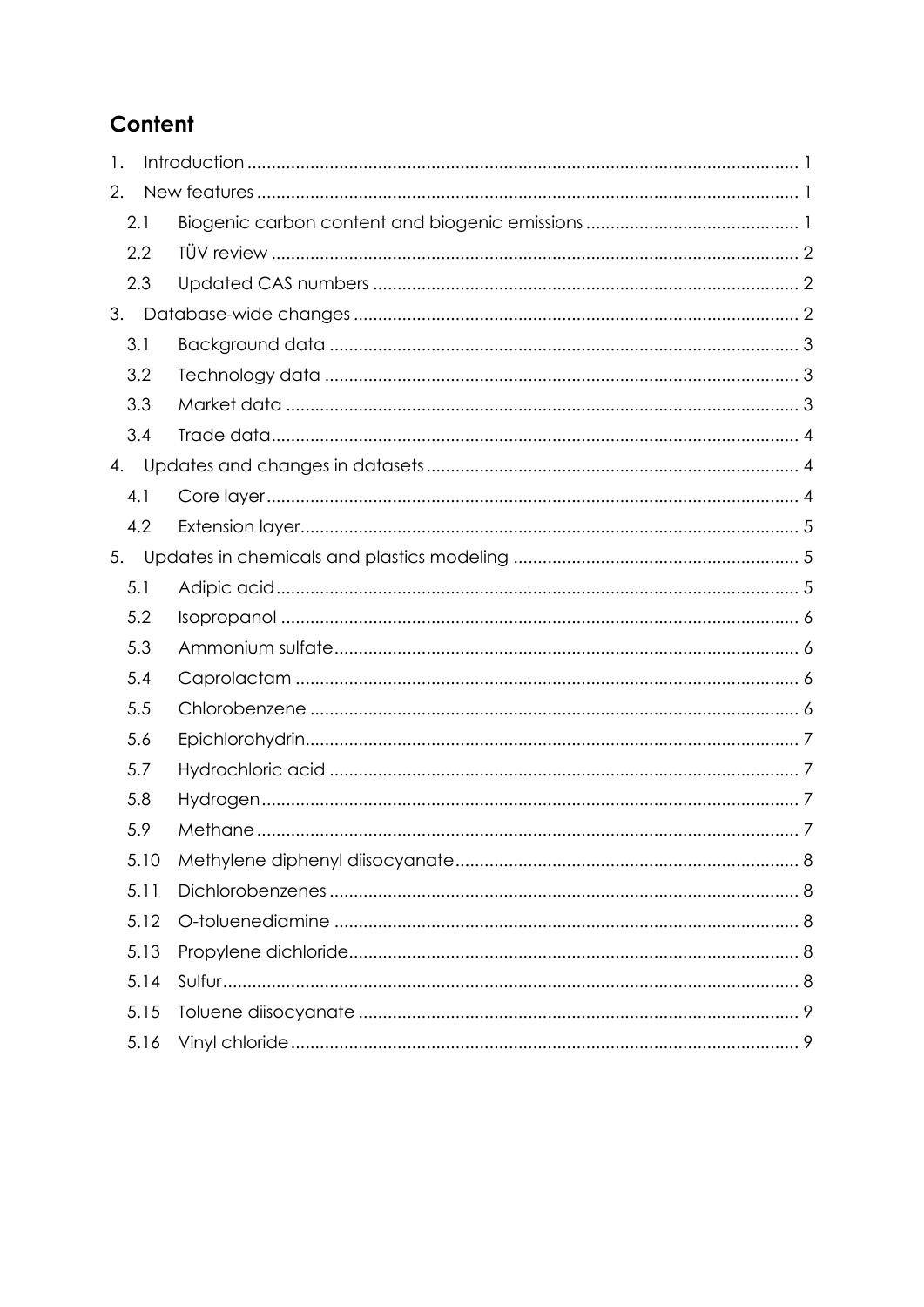# Content

| 1.  |      |  |
|-----|------|--|
| 2.  |      |  |
|     | 2.1  |  |
|     | 2.2  |  |
|     | 2.3  |  |
| 3.  |      |  |
| 3.1 |      |  |
|     | 3.2  |  |
|     | 3.3  |  |
|     | 3.4  |  |
| 4.  |      |  |
|     | 4.1  |  |
|     | 4.2  |  |
| 5.  |      |  |
|     | 5.1  |  |
|     | 5.2  |  |
|     | 5.3  |  |
|     | 5.4  |  |
|     | 5.5  |  |
|     | 5.6  |  |
|     | 5.7  |  |
|     | 5.8  |  |
|     | 5.9  |  |
|     | 5.10 |  |
|     | 5.11 |  |
|     | 5.12 |  |
|     | 5.13 |  |
|     | 5.14 |  |
|     | 5.15 |  |
|     | 5.16 |  |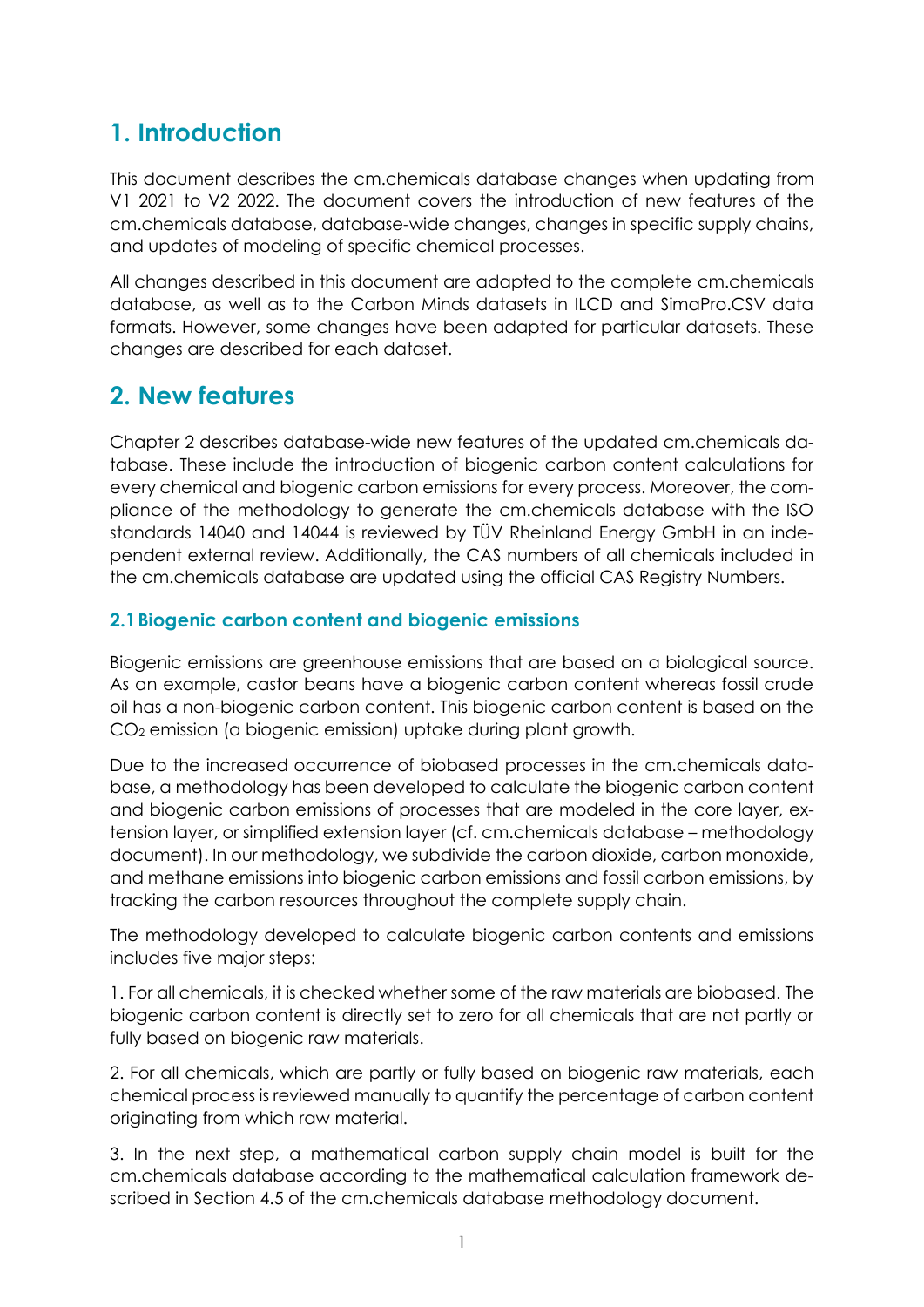# <span id="page-3-0"></span>**1. Introduction**

This document describes the cm.chemicals database changes when updating from V1 2021 to V2 2022. The document covers the introduction of new features of the cm.chemicals database, database-wide changes, changes in specific supply chains, and updates of modeling of specific chemical processes.

All changes described in this document are adapted to the complete cm.chemicals database, as well as to the Carbon Minds datasets in ILCD and SimaPro.CSV data formats. However, some changes have been adapted for particular datasets. These changes are described for each dataset.

# <span id="page-3-1"></span>**2. New features**

Chapter 2 describes database-wide new features of the updated cm.chemicals database. These include the introduction of biogenic carbon content calculations for every chemical and biogenic carbon emissions for every process. Moreover, the compliance of the methodology to generate the cm.chemicals database with the ISO standards 14040 and 14044 is reviewed by TÜV Rheinland Energy GmbH in an independent external review. Additionally, the CAS numbers of all chemicals included in the cm.chemicals database are updated using the official CAS Registry Numbers.

## <span id="page-3-2"></span>**2.1Biogenic carbon content and biogenic emissions**

Biogenic emissions are greenhouse emissions that are based on a biological source. As an example, castor beans have a biogenic carbon content whereas fossil crude oil has a non-biogenic carbon content. This biogenic carbon content is based on the CO<sup>2</sup> emission (a biogenic emission) uptake during plant growth.

Due to the increased occurrence of biobased processes in the cm.chemicals database, a methodology has been developed to calculate the biogenic carbon content and biogenic carbon emissions of processes that are modeled in the core layer, extension layer, or simplified extension layer (cf. cm.chemicals database – methodology document). In our methodology, we subdivide the carbon dioxide, carbon monoxide, and methane emissions into biogenic carbon emissions and fossil carbon emissions, by tracking the carbon resources throughout the complete supply chain.

The methodology developed to calculate biogenic carbon contents and emissions includes five major steps:

1. For all chemicals, it is checked whether some of the raw materials are biobased. The biogenic carbon content is directly set to zero for all chemicals that are not partly or fully based on biogenic raw materials.

2. For all chemicals, which are partly or fully based on biogenic raw materials, each chemical process is reviewed manually to quantify the percentage of carbon content originating from which raw material.

3. In the next step, a mathematical carbon supply chain model is built for the cm.chemicals database according to the mathematical calculation framework described in Section 4.5 of the cm.chemicals database methodology document.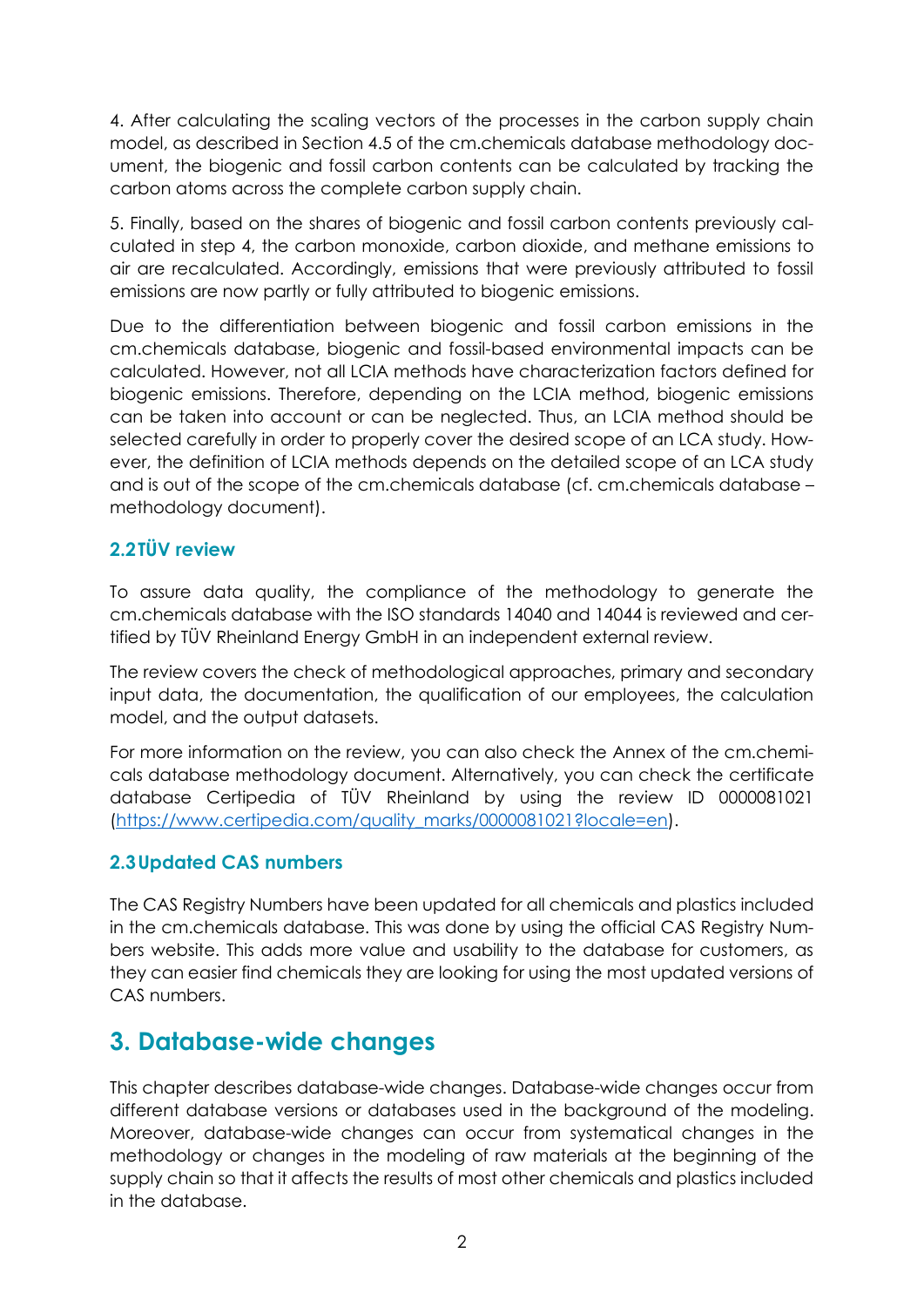4. After calculating the scaling vectors of the processes in the carbon supply chain model, as described in Section 4.5 of the cm.chemicals database methodology document, the biogenic and fossil carbon contents can be calculated by tracking the carbon atoms across the complete carbon supply chain.

5. Finally, based on the shares of biogenic and fossil carbon contents previously calculated in step 4, the carbon monoxide, carbon dioxide, and methane emissions to air are recalculated. Accordingly, emissions that were previously attributed to fossil emissions are now partly or fully attributed to biogenic emissions.

Due to the differentiation between biogenic and fossil carbon emissions in the cm.chemicals database, biogenic and fossil-based environmental impacts can be calculated. However, not all LCIA methods have characterization factors defined for biogenic emissions. Therefore, depending on the LCIA method, biogenic emissions can be taken into account or can be neglected. Thus, an LCIA method should be selected carefully in order to properly cover the desired scope of an LCA study. However, the definition of LCIA methods depends on the detailed scope of an LCA study and is out of the scope of the cm.chemicals database (cf. cm.chemicals database – methodology document).

# <span id="page-4-0"></span>**2.2TÜV review**

To assure data quality, the compliance of the methodology to generate the cm.chemicals database with the ISO standards 14040 and 14044 is reviewed and certified by TÜV Rheinland Energy GmbH in an independent external review.

The review covers the check of methodological approaches, primary and secondary input data, the documentation, the qualification of our employees, the calculation model, and the output datasets.

For more information on the review, you can also check the Annex of the cm.chemicals database methodology document. Alternatively, you can check the certificate database Certipedia of TÜV Rheinland by using the review ID 0000081021 [\(https://www.certipedia.com/quality\\_marks/0000081021?locale=en\)](https://www.certipedia.com/quality_marks/0000081021?locale=en).

#### <span id="page-4-1"></span>**2.3Updated CAS numbers**

The CAS Registry Numbers have been updated for all chemicals and plastics included in the cm.chemicals database. This was done by using the official CAS Registry Numbers website. This adds more value and usability to the database for customers, as they can easier find chemicals they are looking for using the most updated versions of CAS numbers.

# <span id="page-4-2"></span>**3. Database-wide changes**

This chapter describes database-wide changes. Database-wide changes occur from different database versions or databases used in the background of the modeling. Moreover, database-wide changes can occur from systematical changes in the methodology or changes in the modeling of raw materials at the beginning of the supply chain so that it affects the results of most other chemicals and plastics included in the database.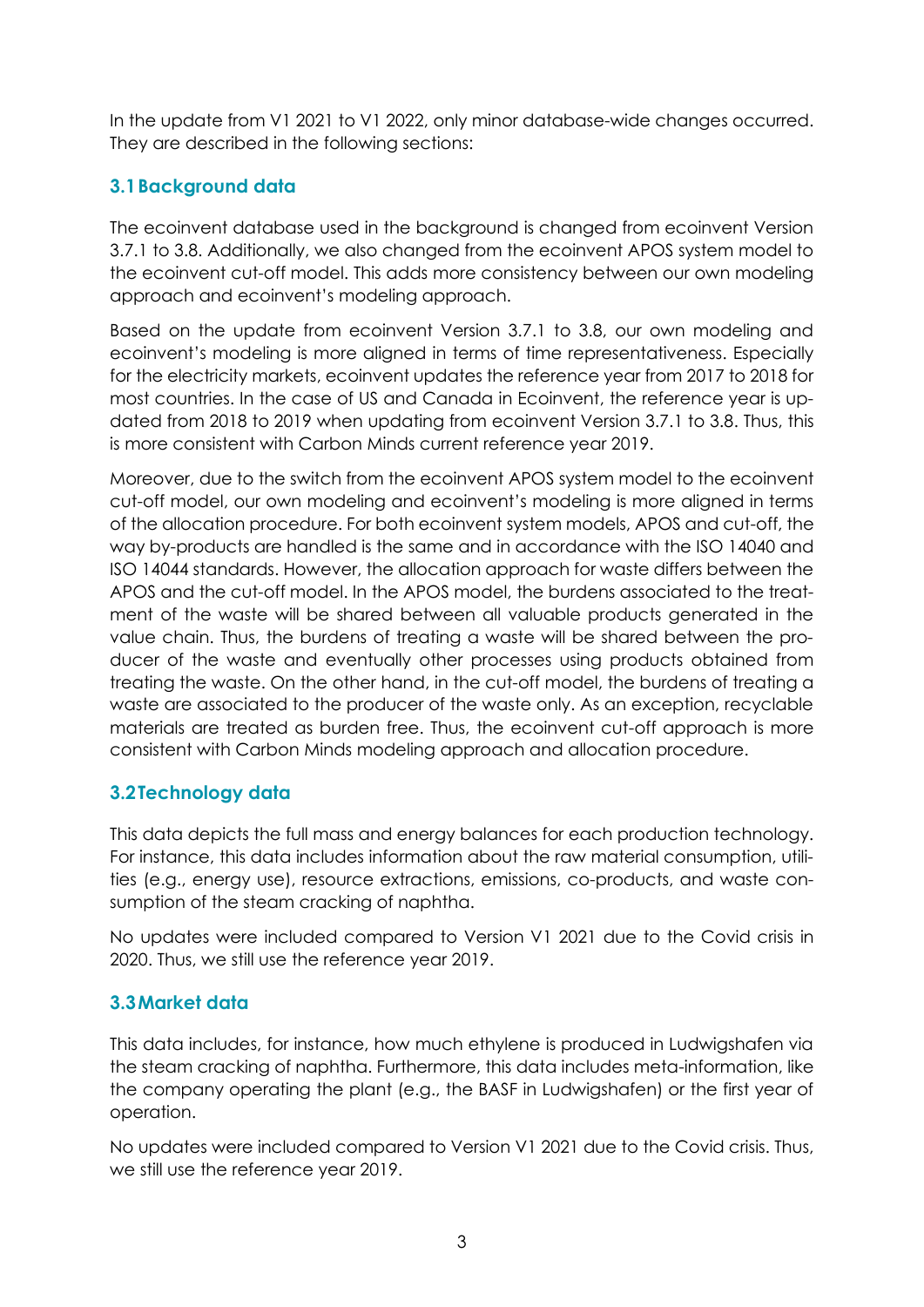In the update from V1 2021 to V1 2022, only minor database-wide changes occurred. They are described in the following sections:

# <span id="page-5-0"></span>**3.1Background data**

The ecoinvent database used in the background is changed from ecoinvent Version 3.7.1 to 3.8. Additionally, we also changed from the ecoinvent APOS system model to the ecoinvent cut-off model. This adds more consistency between our own modeling approach and ecoinvent's modeling approach.

Based on the update from ecoinvent Version 3.7.1 to 3.8, our own modeling and ecoinvent's modeling is more aligned in terms of time representativeness. Especially for the electricity markets, ecoinvent updates the reference year from 2017 to 2018 for most countries. In the case of US and Canada in Ecoinvent, the reference year is updated from 2018 to 2019 when updating from ecoinvent Version 3.7.1 to 3.8. Thus, this is more consistent with Carbon Minds current reference year 2019.

Moreover, due to the switch from the ecoinvent APOS system model to the ecoinvent cut-off model, our own modeling and ecoinvent's modeling is more aligned in terms of the allocation procedure. For both ecoinvent system models, APOS and cut-off, the way by-products are handled is the same and in accordance with the ISO 14040 and ISO 14044 standards. However, the allocation approach for waste differs between the APOS and the cut-off model. In the APOS model, the burdens associated to the treatment of the waste will be shared between all valuable products generated in the value chain. Thus, the burdens of treating a waste will be shared between the producer of the waste and eventually other processes using products obtained from treating the waste. On the other hand, in the cut-off model, the burdens of treating a waste are associated to the producer of the waste only. As an exception, recyclable materials are treated as burden free. Thus, the ecoinvent cut-off approach is more consistent with Carbon Minds modeling approach and allocation procedure.

# <span id="page-5-1"></span>**3.2Technology data**

This data depicts the full mass and energy balances for each production technology. For instance, this data includes information about the raw material consumption, utilities (e.g., energy use), resource extractions, emissions, co-products, and waste consumption of the steam cracking of naphtha.

No updates were included compared to Version V1 2021 due to the Covid crisis in 2020. Thus, we still use the reference year 2019.

# <span id="page-5-2"></span>**3.3Market data**

This data includes, for instance, how much ethylene is produced in Ludwigshafen via the steam cracking of naphtha. Furthermore, this data includes meta-information, like the company operating the plant (e.g., the BASF in Ludwigshafen) or the first year of operation.

No updates were included compared to Version V1 2021 due to the Covid crisis. Thus, we still use the reference year 2019.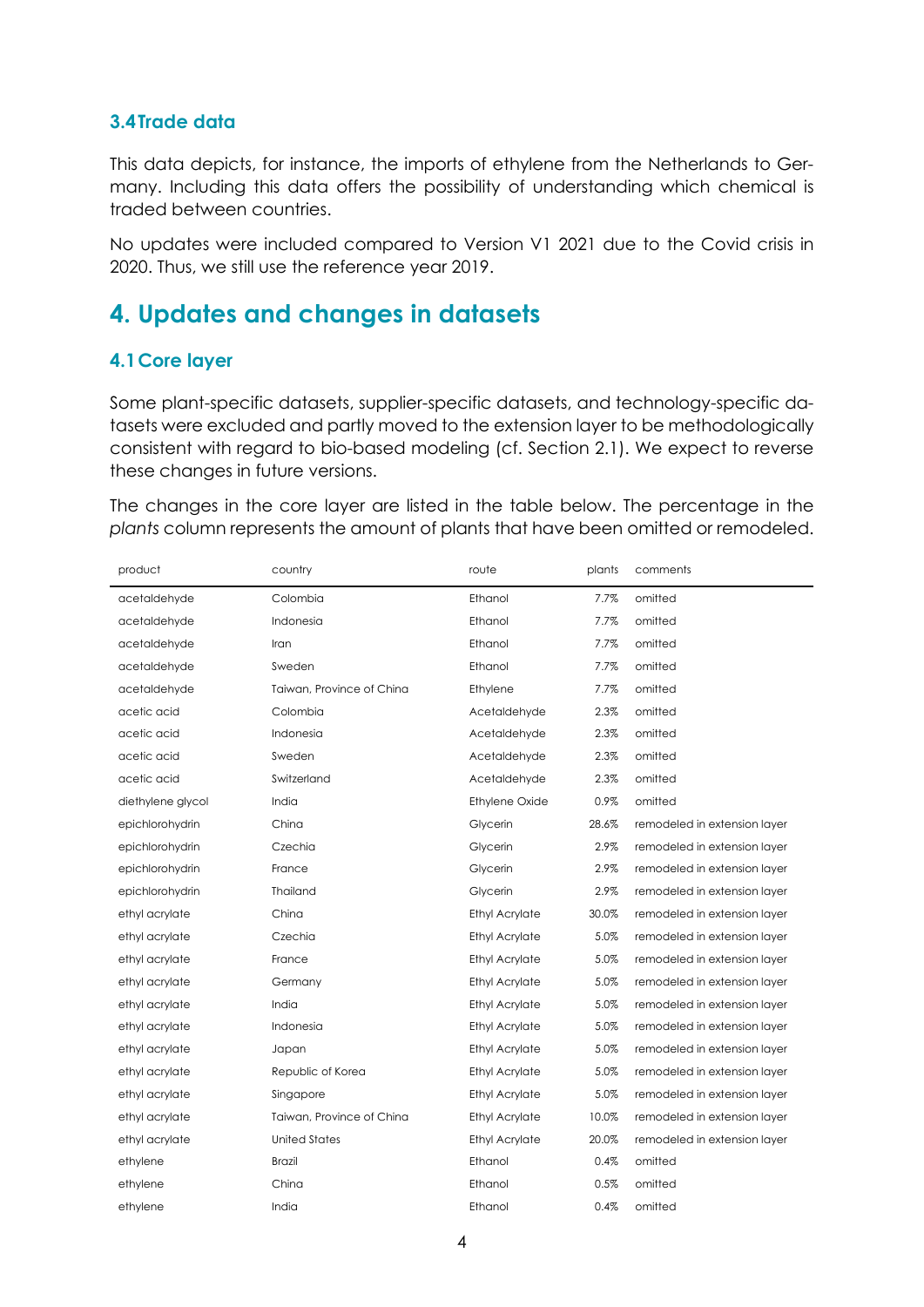#### <span id="page-6-0"></span>**3.4Trade data**

This data depicts, for instance, the imports of ethylene from the Netherlands to Germany. Including this data offers the possibility of understanding which chemical is traded between countries.

No updates were included compared to Version V1 2021 due to the Covid crisis in 2020. Thus, we still use the reference year 2019.

# <span id="page-6-1"></span>**4. Updates and changes in datasets**

#### <span id="page-6-2"></span>**4.1Core layer**

Some plant-specific datasets, supplier-specific datasets, and technology-specific datasets were excluded and partly moved to the extension layer to be methodologically consistent with regard to bio-based modeling (cf. Section [2.1\)](#page-3-2). We expect to reverse these changes in future versions.

The changes in the core layer are listed in the table below. The percentage in the *plants* column represents the amount of plants that have been omitted or remodeled.

| product           | country                   | route                 | plants | comments                     |
|-------------------|---------------------------|-----------------------|--------|------------------------------|
| acetaldehyde      | Colombia                  | Ethanol               | 7.7%   | omitted                      |
| acetaldehyde      | Indonesia                 | Ethanol               | 7.7%   | omitted                      |
| acetaldehyde      | Iran                      | Ethanol               | 7.7%   | omitted                      |
| acetaldehyde      | Sweden                    | Ethanol               | 7.7%   | omitted                      |
| acetaldehyde      | Taiwan, Province of China | Ethylene              | 7.7%   | omitted                      |
| acetic acid       | Colombia                  | Acetaldehyde          | 2.3%   | omitted                      |
| acetic acid       | Indonesia                 | Acetaldehyde          | 2.3%   | omitted                      |
| acetic acid       | Sweden                    | Acetaldehyde          | 2.3%   | omitted                      |
| acetic acid       | Switzerland               | Acetaldehyde          | 2.3%   | omitted                      |
| diethylene glycol | India                     | <b>Ethylene Oxide</b> | 0.9%   | omitted                      |
| epichlorohydrin   | China                     | Glycerin              | 28.6%  | remodeled in extension layer |
| epichlorohydrin   | Czechia                   | Glycerin              | 2.9%   | remodeled in extension layer |
| epichlorohydrin   | France                    | Glycerin              | 2.9%   | remodeled in extension layer |
| epichlorohydrin   | Thailand                  | Glycerin              | 2.9%   | remodeled in extension layer |
| ethyl acrylate    | China                     | <b>Ethyl Acrylate</b> | 30.0%  | remodeled in extension layer |
| ethyl acrylate    | Czechia                   | <b>Ethyl Acrylate</b> | 5.0%   | remodeled in extension layer |
| ethyl acrylate    | France                    | <b>Ethyl Acrylate</b> | 5.0%   | remodeled in extension layer |
| ethyl acrylate    | Germany                   | <b>Ethyl Acrylate</b> | 5.0%   | remodeled in extension layer |
| ethyl acrylate    | India                     | <b>Ethyl Acrylate</b> | 5.0%   | remodeled in extension layer |
| ethyl acrylate    | Indonesia                 | <b>Ethyl Acrylate</b> | 5.0%   | remodeled in extension layer |
| ethyl acrylate    | Japan                     | <b>Ethyl Acrylate</b> | 5.0%   | remodeled in extension layer |
| ethyl acrylate    | Republic of Korea         | <b>Ethyl Acrylate</b> | 5.0%   | remodeled in extension layer |
| ethyl acrylate    | Singapore                 | <b>Ethyl Acrylate</b> | 5.0%   | remodeled in extension layer |
| ethyl acrylate    | Taiwan, Province of China | <b>Ethyl Acrylate</b> | 10.0%  | remodeled in extension layer |
| ethyl acrylate    | <b>United States</b>      | <b>Ethyl Acrylate</b> | 20.0%  | remodeled in extension layer |
| ethylene          | <b>Brazil</b>             | Ethanol               | 0.4%   | omitted                      |
| ethylene          | China                     | Ethanol               | 0.5%   | omitted                      |
| ethylene          | India                     | Ethanol               | 0.4%   | omitted                      |
|                   |                           |                       |        |                              |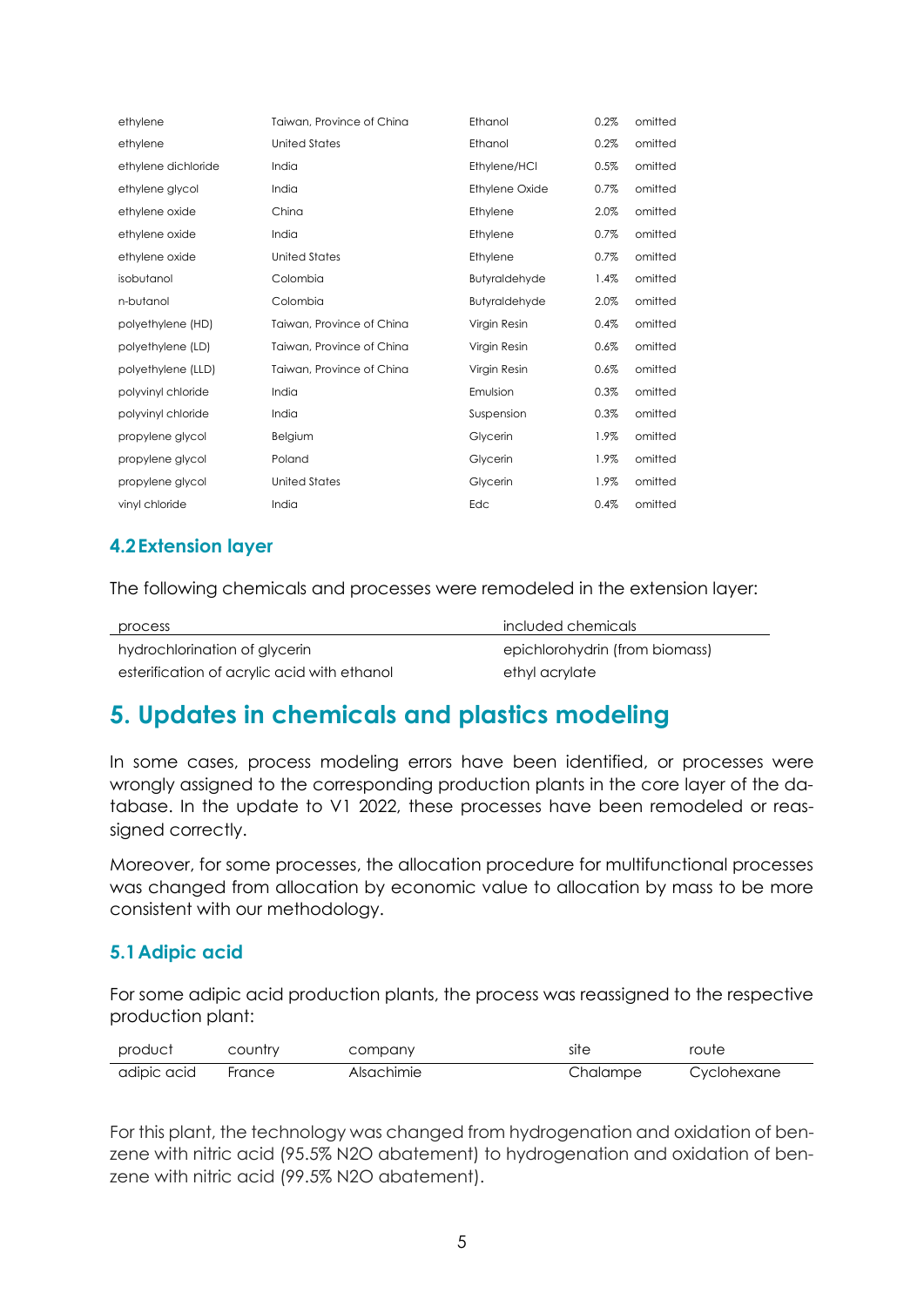| ethylene            | Taiwan, Province of China | Ethanol              | 0.2% | omitted |
|---------------------|---------------------------|----------------------|------|---------|
| ethylene            | <b>United States</b>      | Ethanol              | 0.2% | omitted |
| ethylene dichloride | India                     | Ethylene/HCI         | 0.5% | omitted |
| ethylene glycol     | India                     | Ethylene Oxide       | 0.7% | omitted |
| ethylene oxide      | China                     | Ethylene             | 2.0% | omitted |
| ethylene oxide      | India                     | Ethylene             | 0.7% | omitted |
| ethylene oxide      | <b>United States</b>      | Ethylene             | 0.7% | omitted |
| isobutanol          | Colombia                  | Butyraldehyde        | 1.4% | omitted |
| n-butanol           | Colombia                  | <b>Butyraldehyde</b> | 2.0% | omitted |
| polyethylene (HD)   | Taiwan, Province of China | Virgin Resin         | 0.4% | omitted |
| polyethylene (LD)   | Taiwan, Province of China | Virgin Resin         | 0.6% | omitted |
| polyethylene (LLD)  | Taiwan, Province of China | Virgin Resin         | 0.6% | omitted |
| polyvinyl chloride  | India                     | Emulsion             | 0.3% | omitted |
| polyvinyl chloride  | India                     | Suspension           | 0.3% | omitted |
| propylene glycol    | Belgium                   | Glycerin             | 1.9% | omitted |
| propylene glycol    | Poland                    | Glycerin             | 1.9% | omitted |
| propylene glycol    | <b>United States</b>      | Glycerin             | 1.9% | omitted |
| vinyl chloride      | India                     | Edc                  | 0.4% | omitted |

## <span id="page-7-0"></span>**4.2Extension layer**

The following chemicals and processes were remodeled in the extension layer:

| process                                     | included chemicals             |
|---------------------------------------------|--------------------------------|
| hydrochlorination of glycerin               | epichlorohydrin (from biomass) |
| esterification of acrylic acid with ethanol | ethyl acrylate                 |

# <span id="page-7-1"></span>**5. Updates in chemicals and plastics modeling**

In some cases, process modeling errors have been identified, or processes were wrongly assigned to the corresponding production plants in the core layer of the database. In the update to V1 2022, these processes have been remodeled or reassigned correctly.

Moreover, for some processes, the allocation procedure for multifunctional processes was changed from allocation by economic value to allocation by mass to be more consistent with our methodology.

#### <span id="page-7-2"></span>**5.1Adipic acid**

For some adipic acid production plants, the process was reassigned to the respective production plant:

| product     | country | company    | site     | route       |
|-------------|---------|------------|----------|-------------|
| adipic acid | France  | Alsachimie | Chalampe | Cyclohexane |

For this plant, the technology was changed from hydrogenation and oxidation of benzene with nitric acid (95.5% N2O abatement) to hydrogenation and oxidation of benzene with nitric acid (99.5% N2O abatement).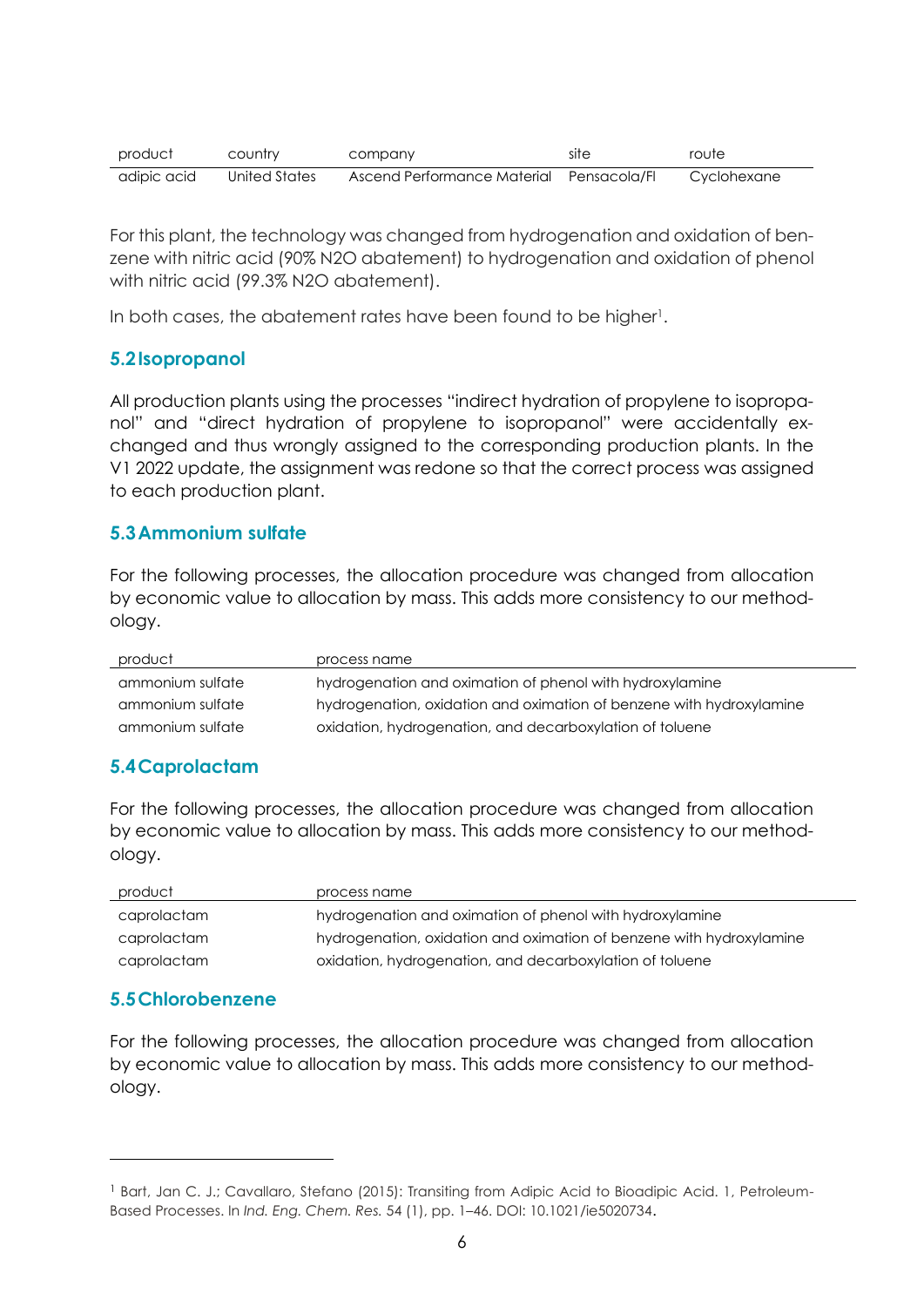| product     | country       | company                                  | site | route       |
|-------------|---------------|------------------------------------------|------|-------------|
| adipic acid | United States | Ascend Performance Material Pensacola/FL |      | Cyclohexane |

For this plant, the technology was changed from hydrogenation and oxidation of benzene with nitric acid (90% N2O abatement) to hydrogenation and oxidation of phenol with nitric acid (99.3% N2O abatement).

In both cases, the abatement rates have been found to be higher<sup>1</sup>.

## <span id="page-8-0"></span>**5.2Isopropanol**

All production plants using the processes "indirect hydration of propylene to isopropanol" and "direct hydration of propylene to isopropanol" were accidentally exchanged and thus wrongly assigned to the corresponding production plants. In the V1 2022 update, the assignment was redone so that the correct process was assigned to each production plant.

#### <span id="page-8-1"></span>**5.3Ammonium sulfate**

For the following processes, the allocation procedure was changed from allocation by economic value to allocation by mass. This adds more consistency to our methodology.

| product          | process name                                                         |
|------------------|----------------------------------------------------------------------|
| ammonium sulfate | hydrogenation and oximation of phenol with hydroxylamine             |
| ammonium sulfate | hydrogenation, oxidation and oximation of benzene with hydroxylamine |
| ammonium sulfate | oxidation, hydrogenation, and decarboxylation of toluene             |

# <span id="page-8-2"></span>**5.4Caprolactam**

For the following processes, the allocation procedure was changed from allocation by economic value to allocation by mass. This adds more consistency to our methodology.

| product     | process name                                                         |
|-------------|----------------------------------------------------------------------|
| caprolactam | hydrogenation and oximation of phenol with hydroxylamine             |
| caprolactam | hydrogenation, oxidation and oximation of benzene with hydroxylamine |
| caprolactam | oxidation, hydrogenation, and decarboxylation of toluene             |

# <span id="page-8-3"></span>**5.5Chlorobenzene**

For the following processes, the allocation procedure was changed from allocation by economic value to allocation by mass. This adds more consistency to our methodology.

<sup>1</sup> Bart, Jan C. J.; Cavallaro, Stefano (2015): Transiting from Adipic Acid to Bioadipic Acid. 1, Petroleum-Based Processes. In *Ind. Eng. Chem. Res.* 54 (1), pp. 1–46. DOI: 10.1021/ie5020734.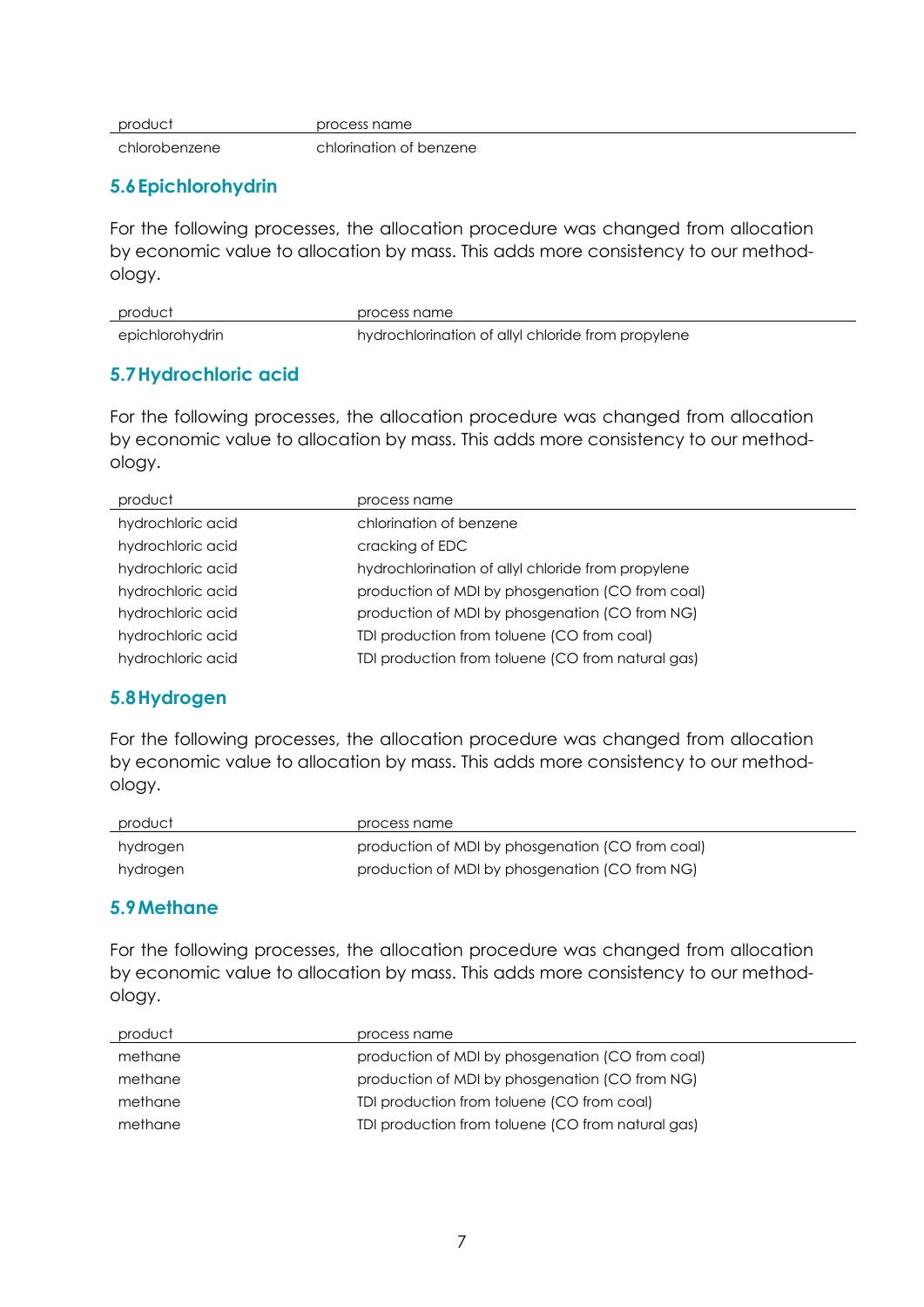| product | process name |
|---------|--------------|
|---------|--------------|

chlorobenzene chlorination of benzene

#### <span id="page-9-0"></span>**5.6Epichlorohydrin**

For the following processes, the allocation procedure was changed from allocation by economic value to allocation by mass. This adds more consistency to our methodology.

| product         | process name                                       |
|-----------------|----------------------------------------------------|
| epichlorohydrin | hydrochlorination of allyl chloride from propylene |

#### <span id="page-9-1"></span>**5.7Hydrochloric acid**

For the following processes, the allocation procedure was changed from allocation by economic value to allocation by mass. This adds more consistency to our methodology.

| product           | process name                                       |
|-------------------|----------------------------------------------------|
| hydrochloric acid | chloringtion of benzene                            |
| hydrochloric acid | cracking of EDC                                    |
| hydrochloric acid | hydrochlorination of allyl chloride from propylene |
| hydrochloric acid | production of MDI by phosgenation (CO from coal)   |
| hydrochloric acid | production of MDI by phosgenation (CO from NG)     |
| hydrochloric acid | TDI production from toluene (CO from coal)         |
| hydrochloric acid | TDI production from toluene (CO from natural gas)  |
|                   |                                                    |

#### <span id="page-9-2"></span>**5.8Hydrogen**

For the following processes, the allocation procedure was changed from allocation by economic value to allocation by mass. This adds more consistency to our methodology.

| product  | process name                                     |
|----------|--------------------------------------------------|
| hydrogen | production of MDI by phosgenation (CO from coal) |
| hydrogen | production of MDI by phosgenation (CO from NG)   |

#### <span id="page-9-3"></span>**5.9Methane**

For the following processes, the allocation procedure was changed from allocation by economic value to allocation by mass. This adds more consistency to our methodology.

| product | process name                                      |
|---------|---------------------------------------------------|
| methane | production of MDI by phosgenation (CO from coal)  |
| methane | production of MDI by phosgenation (CO from NG)    |
| methane | TDI production from toluene (CO from coal)        |
| methane | TDI production from toluene (CO from natural gas) |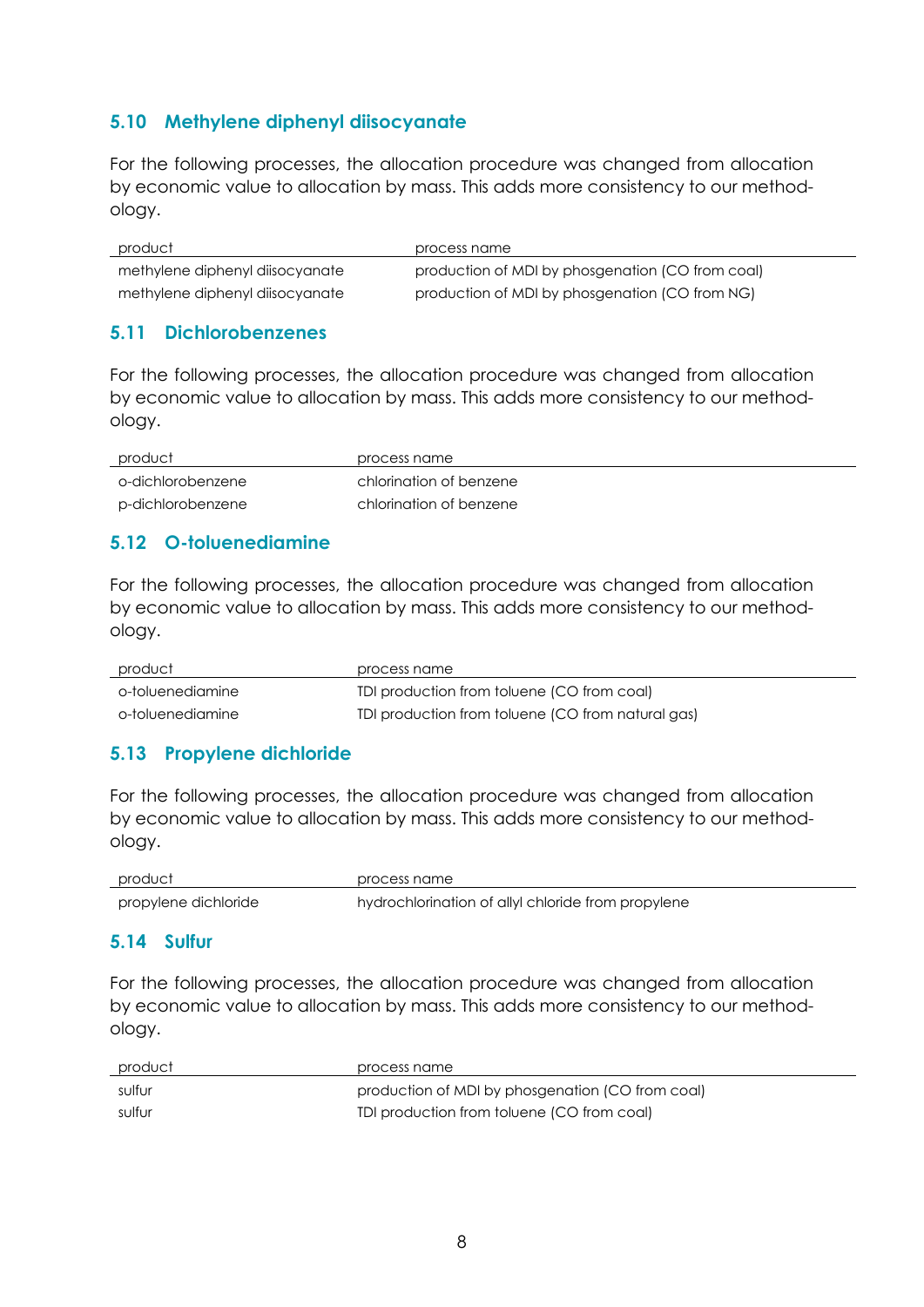## <span id="page-10-0"></span>**5.10 Methylene diphenyl diisocyanate**

For the following processes, the allocation procedure was changed from allocation by economic value to allocation by mass. This adds more consistency to our methodology.

| product                         | process name                                     |
|---------------------------------|--------------------------------------------------|
| methylene diphenyl diisocyanate | production of MDI by phosgenation (CO from coal) |
| methylene diphenyl diisocyanate | production of MDI by phosgenation (CO from NG)   |

#### <span id="page-10-1"></span>**5.11 Dichlorobenzenes**

For the following processes, the allocation procedure was changed from allocation by economic value to allocation by mass. This adds more consistency to our methodology.

| product           | process name            |
|-------------------|-------------------------|
| o-dichlorobenzene | chlorination of benzene |
| p-dichlorobenzene | chlorination of benzene |

## <span id="page-10-2"></span>**5.12 O-toluenediamine**

For the following processes, the allocation procedure was changed from allocation by economic value to allocation by mass. This adds more consistency to our methodology.

| product          | process name                                      |
|------------------|---------------------------------------------------|
| o-toluenediamine | TDI production from toluene (CO from coal)        |
| o-toluenediamine | TDI production from toluene (CO from natural gas) |

# <span id="page-10-3"></span>**5.13 Propylene dichloride**

For the following processes, the allocation procedure was changed from allocation by economic value to allocation by mass. This adds more consistency to our methodology.

| product              | process name                                       |
|----------------------|----------------------------------------------------|
| propylene dichloride | hydrochlorination of allyl chloride from propylene |

#### <span id="page-10-4"></span>**5.14 Sulfur**

For the following processes, the allocation procedure was changed from allocation by economic value to allocation by mass. This adds more consistency to our methodology.

| product | process name                                     |
|---------|--------------------------------------------------|
| sulfur  | production of MDI by phosgenation (CO from coal) |
| sulfur  | TDI production from toluene (CO from coal)       |